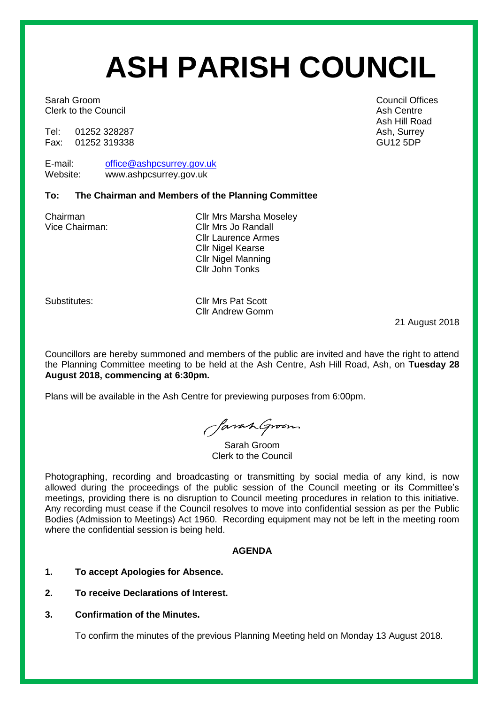# **ASH PARISH COUNCIL**

Sarah Groom **Council Offices** Sarah Groom **Council Offices** Clerk to the Council **Ash Centre** Ash Centre Ash Centre

Tel: 01252 328287 Ash, Surrey 328287<br>Fax: 01252 319338 Ash, Surrey 31, Ash, Surrey 32, Ash, Surrey 31, Ash, Surrey Fax: 01252 319338

E-mail: [office@ashpcsurrey.gov.uk](mailto:office@ashpcsurrey.gov.uk) Website: www.ashpcsurrey.gov.uk

## **To: The Chairman and Members of the Planning Committee**

Chairman Cllr Mrs Marsha Moseley Vice Chairman: Cllr Mrs Jo Randall Cllr Laurence Armes Cllr Nigel Kearse Cllr Nigel Manning Cllr John Tonks

Substitutes: Cllr Mrs Pat Scott Cllr Andrew Gomm

21 August 2018

Councillors are hereby summoned and members of the public are invited and have the right to attend the Planning Committee meeting to be held at the Ash Centre, Ash Hill Road, Ash, on **Tuesday 28 August 2018, commencing at 6:30pm.** 

Plans will be available in the Ash Centre for previewing purposes from 6:00pm.

SavanGroom

Sarah Groom Clerk to the Council

Photographing, recording and broadcasting or transmitting by social media of any kind, is now allowed during the proceedings of the public session of the Council meeting or its Committee's meetings, providing there is no disruption to Council meeting procedures in relation to this initiative. Any recording must cease if the Council resolves to move into confidential session as per the Public Bodies (Admission to Meetings) Act 1960. Recording equipment may not be left in the meeting room where the confidential session is being held.

## **AGENDA**

- **1. To accept Apologies for Absence.**
- **2. To receive Declarations of Interest.**
- **3. Confirmation of the Minutes.**

To confirm the minutes of the previous Planning Meeting held on Monday 13 August 2018.

Ash Hill Road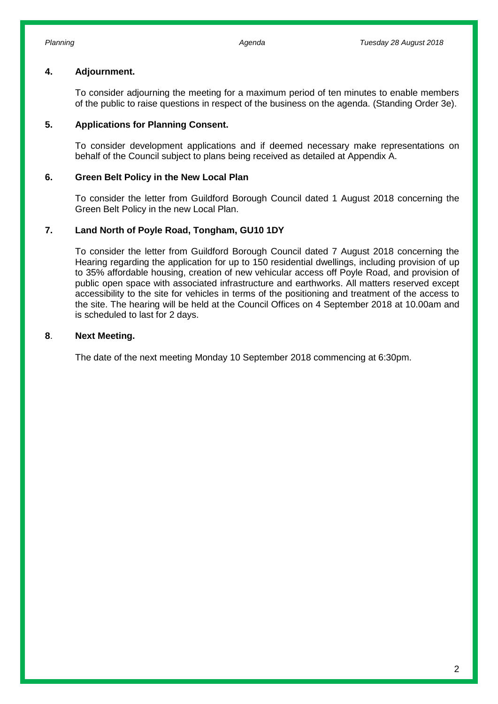## **4. Adjournment.**

To consider adjourning the meeting for a maximum period of ten minutes to enable members of the public to raise questions in respect of the business on the agenda. (Standing Order 3e).

#### **5. Applications for Planning Consent.**

To consider development applications and if deemed necessary make representations on behalf of the Council subject to plans being received as detailed at Appendix A.

#### **6. Green Belt Policy in the New Local Plan**

To consider the letter from Guildford Borough Council dated 1 August 2018 concerning the Green Belt Policy in the new Local Plan.

#### **7. Land North of Poyle Road, Tongham, GU10 1DY**

To consider the letter from Guildford Borough Council dated 7 August 2018 concerning the Hearing regarding the application for up to 150 residential dwellings, including provision of up to 35% affordable housing, creation of new vehicular access off Poyle Road, and provision of public open space with associated infrastructure and earthworks. All matters reserved except accessibility to the site for vehicles in terms of the positioning and treatment of the access to the site. The hearing will be held at the Council Offices on 4 September 2018 at 10.00am and is scheduled to last for 2 days.

#### **8**. **Next Meeting.**

The date of the next meeting Monday 10 September 2018 commencing at 6:30pm.